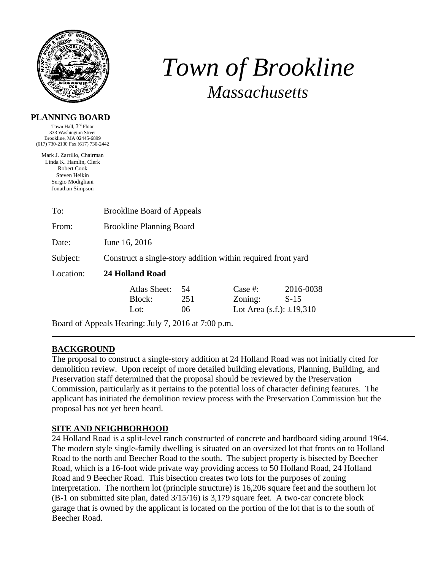

# *Town of Brookline Massachusetts*

#### **PLANNING BOARD**

Town Hall, 3rd Floor 333 Washington Street Brookline, MA 02445-6899 (617) 730-2130 Fax (617) 730-2442

Mark J. Zarrillo, Chairman Linda K. Hamlin, Clerk Robert Cook Steven Heikin Sergio Modigliani Jonathan Simpson

| To:       | <b>Brookline Board of Appeals</b>                            |           |                                  |                     |  |  |
|-----------|--------------------------------------------------------------|-----------|----------------------------------|---------------------|--|--|
| From:     | <b>Brookline Planning Board</b>                              |           |                                  |                     |  |  |
| Date:     | June 16, 2016                                                |           |                                  |                     |  |  |
| Subject:  | Construct a single-story addition within required front yard |           |                                  |                     |  |  |
| Location: | <b>24 Holland Road</b>                                       |           |                                  |                     |  |  |
|           | Atlas Sheet:<br>Block:                                       | 54<br>251 | Case #:<br>Zoning:               | 2016-0038<br>$S-15$ |  |  |
|           | Lot:                                                         | 06        | Lot Area $(s.f.)$ : $\pm 19,310$ |                     |  |  |

Board of Appeals Hearing: July 7, 2016 at 7:00 p.m.

## **BACKGROUND**

The proposal to construct a single-story addition at 24 Holland Road was not initially cited for demolition review. Upon receipt of more detailed building elevations, Planning, Building, and Preservation staff determined that the proposal should be reviewed by the Preservation Commission, particularly as it pertains to the potential loss of character defining features. The applicant has initiated the demolition review process with the Preservation Commission but the proposal has not yet been heard.

#### **SITE AND NEIGHBORHOOD**

24 Holland Road is a split-level ranch constructed of concrete and hardboard siding around 1964. The modern style single-family dwelling is situated on an oversized lot that fronts on to Holland Road to the north and Beecher Road to the south. The subject property is bisected by Beecher Road, which is a 16-foot wide private way providing access to 50 Holland Road, 24 Holland Road and 9 Beecher Road. This bisection creates two lots for the purposes of zoning interpretation. The northern lot (principle structure) is 16,206 square feet and the southern lot (B-1 on submitted site plan, dated 3/15/16) is 3,179 square feet. A two-car concrete block garage that is owned by the applicant is located on the portion of the lot that is to the south of Beecher Road.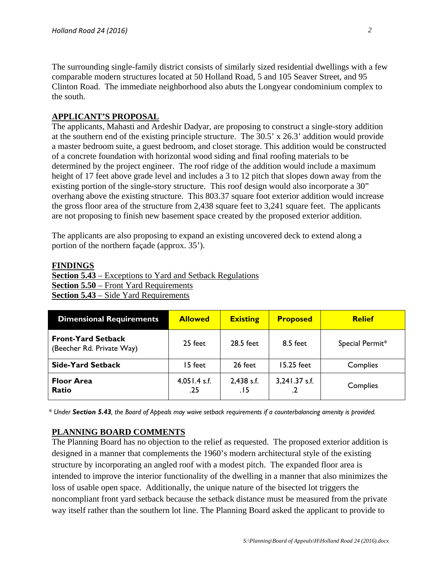The surrounding single-family district consists of similarly sized residential dwellings with a few comparable modern structures located at 50 Holland Road, 5 and 105 Seaver Street, and 95 Clinton Road. The immediate neighborhood also abuts the Longyear condominium complex to the south.

# **APPLICANT'S PROPOSAL**

The applicants, Mahasti and Ardeshir Dadyar, are proposing to construct a single-story addition at the southern end of the existing principle structure. The 30.5' x 26.3' addition would provide a master bedroom suite, a guest bedroom, and closet storage. This addition would be constructed of a concrete foundation with horizontal wood siding and final roofing materials to be determined by the project engineer. The roof ridge of the addition would include a maximum height of 17 feet above grade level and includes a 3 to 12 pitch that slopes down away from the existing portion of the single-story structure. This roof design would also incorporate a 30" overhang above the existing structure. This 803.37 square foot exterior addition would increase the gross floor area of the structure from 2,438 square feet to 3,241 square feet. The applicants are not proposing to finish new basement space created by the proposed exterior addition.

The applicants are also proposing to expand an existing uncovered deck to extend along a portion of the northern façade (approx. 35').

#### **FINDINGS**

**Section 5.43** – Exceptions to Yard and Setback Regulations **Section 5.50** – Front Yard Requirements **Section 5.43** – Side Yard Requirements

| <b>Dimensional Requirements</b>                        | <b>Allowed</b>        | <b>Existing</b>    | <b>Proposed</b>                        | <b>Relief</b>   |
|--------------------------------------------------------|-----------------------|--------------------|----------------------------------------|-----------------|
| <b>Front-Yard Setback</b><br>(Beecher Rd. Private Way) | 25 feet               | 28.5 feet          | 8.5 feet                               | Special Permit* |
| <b>Side-Yard Setback</b>                               | 15 feet               | 26 feet            | 15.25 feet                             | Complies        |
| <b>Floor Area</b><br>Ratio                             | $4,051.4$ s.f.<br>.25 | 2,438 s.f.<br>. 15 | 3,241.37 s.f.<br>$\cdot$ $\mathcal{L}$ | Complies        |

*\* Under Section 5.43, the Board of Appeals may waive setback requirements if a counterbalancing amenity is provided.*

## **PLANNING BOARD COMMENTS**

The Planning Board has no objection to the relief as requested. The proposed exterior addition is designed in a manner that complements the 1960's modern architectural style of the existing structure by incorporating an angled roof with a modest pitch. The expanded floor area is intended to improve the interior functionality of the dwelling in a manner that also minimizes the loss of usable open space. Additionally, the unique nature of the bisected lot triggers the noncompliant front yard setback because the setback distance must be measured from the private way itself rather than the southern lot line. The Planning Board asked the applicant to provide to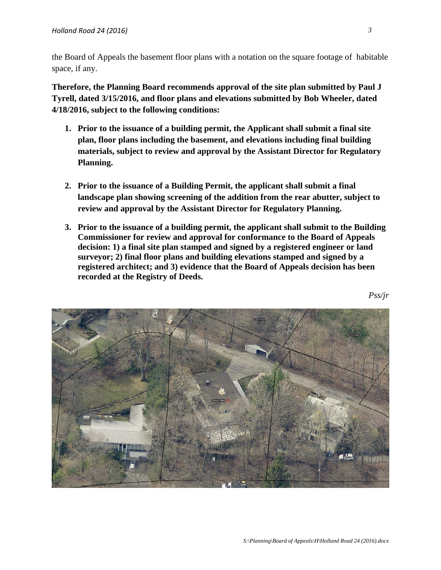the Board of Appeals the basement floor plans with a notation on the square footage of habitable space, if any.

**Therefore, the Planning Board recommends approval of the site plan submitted by Paul J Tyrell, dated 3/15/2016, and floor plans and elevations submitted by Bob Wheeler, dated 4/18/2016, subject to the following conditions:** 

- **1. Prior to the issuance of a building permit, the Applicant shall submit a final site plan, floor plans including the basement, and elevations including final building materials, subject to review and approval by the Assistant Director for Regulatory Planning.**
- **2. Prior to the issuance of a Building Permit, the applicant shall submit a final landscape plan showing screening of the addition from the rear abutter, subject to review and approval by the Assistant Director for Regulatory Planning.**
- **3. Prior to the issuance of a building permit, the applicant shall submit to the Building Commissioner for review and approval for conformance to the Board of Appeals decision: 1) a final site plan stamped and signed by a registered engineer or land surveyor; 2) final floor plans and building elevations stamped and signed by a registered architect; and 3) evidence that the Board of Appeals decision has been recorded at the Registry of Deeds.**

*Pss/jr*